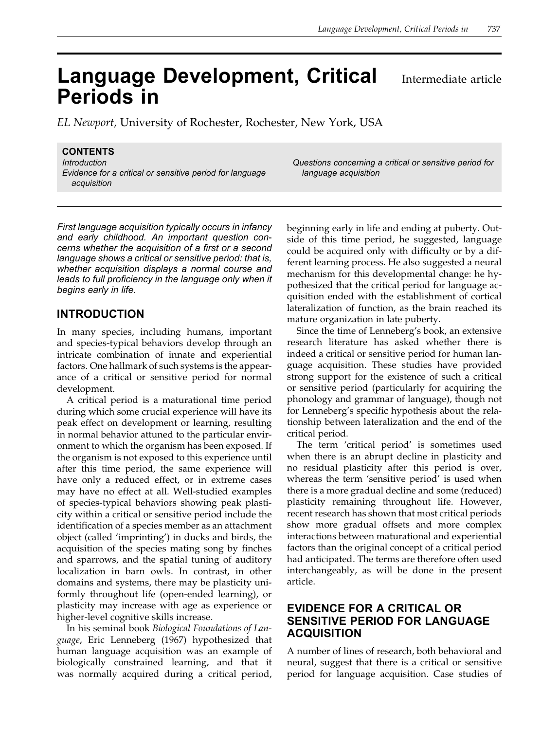# **Language Development, Critical Periods in**

Intermediate article

EL Newport, University of Rochester, Rochester, New York, USA

### **CONTENTS**

Introduction Evidence for a critical or sensitive period for language acquisition

Questions concerning a critical or sensitive period for language acquisition

First language acquisition typically occurs in infancy and early childhood. An important question concerns whether the acquisition of a first or a second language shows a critical or sensitive period: that is, whether acquisition displays a normal course and leads to full proficiency in the language only when it begins early in life.

### **INTRODUCTION**

In many species, including humans, important and species-typical behaviors develop through an intricate combination of innate and experiential factors. One hallmark of such systems is the appearance of a critical or sensitive period for normal development.

A critical period is a maturational time period during which some crucial experience will have its peak effect on development or learning, resulting in normal behavior attuned to the particular environment to which the organism has been exposed. If the organism is not exposed to this experience until after this time period, the same experience will have only a reduced effect, or in extreme cases may have no effect at all. Well-studied examples of species-typical behaviors showing peak plasticity within a critical or sensitive period include the identification of a species member as an attachment object (called 'imprinting') in ducks and birds, the acquisition of the species mating song by finches and sparrows, and the spatial tuning of auditory localization in barn owls. In contrast, in other domains and systems, there may be plasticity uniformly throughout life (open-ended learning), or plasticity may increase with age as experience or higher-level cognitive skills increase.

In his seminal book Biological Foundations of Language, Eric Lenneberg (1967) hypothesized that human language acquisition was an example of biologically constrained learning, and that it was normally acquired during a critical period,

beginning early in life and ending at puberty. Outside of this time period, he suggested, language could be acquired only with difficulty or by a different learning process. He also suggested a neural mechanism for this developmental change: he hypothesized that the critical period for language acquisition ended with the establishment of cortical lateralization of function, as the brain reached its mature organization in late puberty.

Since the time of Lenneberg's book, an extensive research literature has asked whether there is indeed a critical or sensitive period for human language acquisition. These studies have provided strong support for the existence of such a critical or sensitive period (particularly for acquiring the phonology and grammar of language), though not for Lenneberg's specific hypothesis about the relationship between lateralization and the end of the critical period.

The term 'critical period' is sometimes used when there is an abrupt decline in plasticity and no residual plasticity after this period is over, whereas the term 'sensitive period' is used when there is a more gradual decline and some (reduced) plasticity remaining throughout life. However, recent research has shown that most critical periods show more gradual offsets and more complex interactions between maturational and experiential factors than the original concept of a critical period had anticipated. The terms are therefore often used interchangeably, as will be done in the present article.

## **EVIDENCE FOR A CRITICAL OR SENSITIVE PERIOD FOR LANGUAGE ACQUISITION**

A number of lines of research, both behavioral and neural, suggest that there is a critical or sensitive period for language acquisition. Case studies of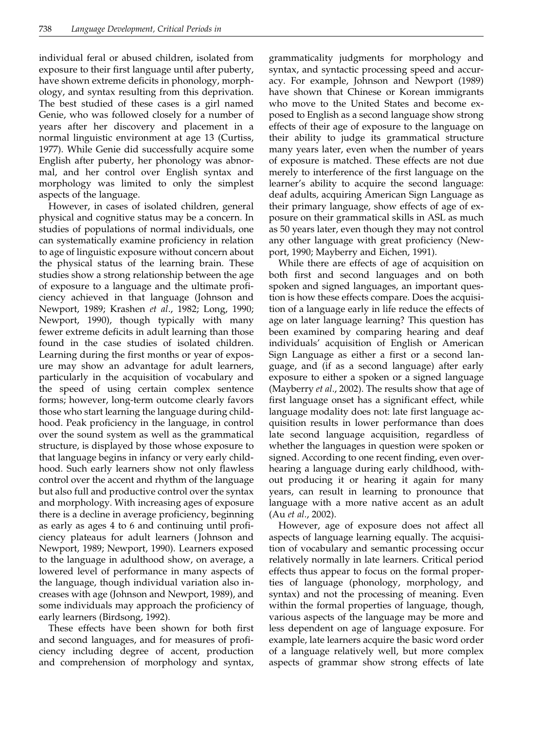individual feral or abused children, isolated from exposure to their first language until after puberty, have shown extreme deficits in phonology, morphology, and syntax resulting from this deprivation. The best studied of these cases is a girl named Genie, who was followed closely for a number of years after her discovery and placement in a normal linguistic environment at age 13 (Curtiss, 1977). While Genie did successfully acquire some English after puberty, her phonology was abnormal, and her control over English syntax and morphology was limited to only the simplest aspects of the language.

However, in cases of isolated children, general physical and cognitive status may be a concern. In studies of populations of normal individuals, one can systematically examine proficiency in relation to age of linguistic exposure without concern about the physical status of the learning brain. These studies show a strong relationship between the age of exposure to a language and the ultimate proficiency achieved in that language (Johnson and Newport, 1989; Krashen et al., 1982; Long, 1990; Newport, 1990), though typically with many fewer extreme deficits in adult learning than those found in the case studies of isolated children. Learning during the first months or year of exposure may show an advantage for adult learners, particularly in the acquisition of vocabulary and the speed of using certain complex sentence forms; however, long-term outcome clearly favors those who start learning the language during childhood. Peak proficiency in the language, in control over the sound system as well as the grammatical structure, is displayed by those whose exposure to that language begins in infancy or very early childhood. Such early learners show not only flawless control over the accent and rhythm of the language but also full and productive control over the syntax and morphology. With increasing ages of exposure there is a decline in average proficiency, beginning as early as ages 4 to 6 and continuing until proficiency plateaus for adult learners (Johnson and Newport, 1989; Newport, 1990). Learners exposed to the language in adulthood show, on average, a lowered level of performance in many aspects of the language, though individual variation also increases with age (Johnson and Newport, 1989), and some individuals may approach the proficiency of early learners (Birdsong, 1992).

These effects have been shown for both first and second languages, and for measures of proficiency including degree of accent, production and comprehension of morphology and syntax,

grammaticality judgments for morphology and syntax, and syntactic processing speed and accuracy. For example, Johnson and Newport (1989) have shown that Chinese or Korean immigrants who move to the United States and become exposed to English as a second language show strong effects of their age of exposure to the language on their ability to judge its grammatical structure many years later, even when the number of years of exposure is matched. These effects are not due merely to interference of the first language on the learner's ability to acquire the second language: deaf adults, acquiring American Sign Language as their primary language, show effects of age of exposure on their grammatical skills in ASL as much as 50 years later, even though they may not control any other language with great proficiency (Newport, 1990; Mayberry and Eichen, 1991).

While there are effects of age of acquisition on both first and second languages and on both spoken and signed languages, an important question is how these effects compare. Does the acquisition of a language early in life reduce the effects of age on later language learning? This question has been examined by comparing hearing and deaf individuals' acquisition of English or American Sign Language as either a first or a second language, and (if as a second language) after early exposure to either a spoken or a signed language (Mayberry et al., 2002). The results show that age of first language onset has a significant effect, while language modality does not: late first language acquisition results in lower performance than does late second language acquisition, regardless of whether the languages in question were spoken or signed. According to one recent finding, even overhearing a language during early childhood, without producing it or hearing it again for many years, can result in learning to pronounce that language with a more native accent as an adult (Au *et al.*, 2002).

However, age of exposure does not affect all aspects of language learning equally. The acquisition of vocabulary and semantic processing occur relatively normally in late learners. Critical period effects thus appear to focus on the formal properties of language (phonology, morphology, and syntax) and not the processing of meaning. Even within the formal properties of language, though, various aspects of the language may be more and less dependent on age of language exposure. For example, late learners acquire the basic word order of a language relatively well, but more complex aspects of grammar show strong effects of late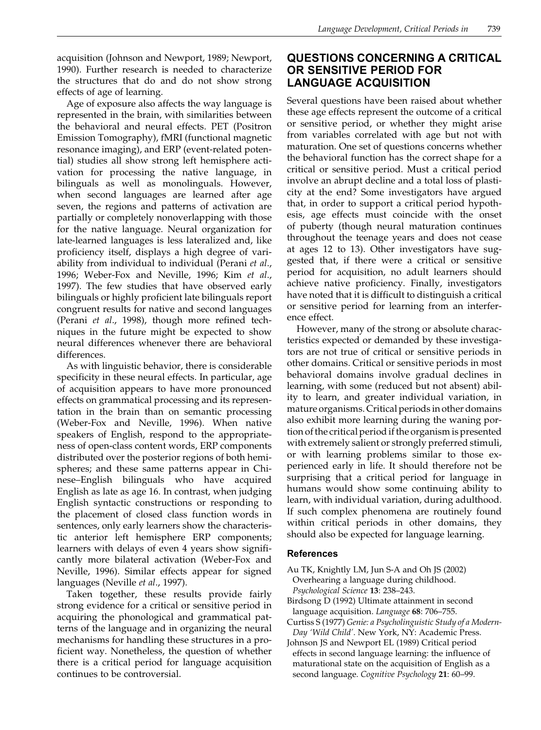acquisition (Johnson and Newport, 1989; Newport, 1990). Further research is needed to characterize the structures that do and do not show strong effects of age of learning.

Age of exposure also affects the way language is represented in the brain, with similarities between the behavioral and neural effects. PET (Positron Emission Tomography), fMRI (functional magnetic resonance imaging), and ERP (event-related potential) studies all show strong left hemisphere activation for processing the native language, in bilinguals as well as monolinguals. However, when second languages are learned after age seven, the regions and patterns of activation are partially or completely nonoverlapping with those for the native language. Neural organization for late-learned languages is less lateralized and, like proficiency itself, displays a high degree of variability from individual to individual (Perani et al., 1996; Weber-Fox and Neville, 1996; Kim et al., 1997). The few studies that have observed early bilinguals or highly proficient late bilinguals report congruent results for native and second languages (Perani et al., 1998), though more refined techniques in the future might be expected to show neural differences whenever there are behavioral differences.

As with linguistic behavior, there is considerable specificity in these neural effects. In particular, age of acquisition appears to have more pronounced effects on grammatical processing and its representation in the brain than on semantic processing (Weber-Fox and Neville, 1996). When native speakers of English, respond to the appropriateness of open-class content words, ERP components distributed over the posterior regions of both hemispheres; and these same patterns appear in Chinese-English bilinguals who have acquired English as late as age 16. In contrast, when judging English syntactic constructions or responding to the placement of closed class function words in sentences, only early learners show the characteristic anterior left hemisphere ERP components; learners with delays of even 4 years show significantly more bilateral activation (Weber-Fox and Neville, 1996). Similar effects appear for signed languages (Neville *et al.*, 1997).

Taken together, these results provide fairly strong evidence for a critical or sensitive period in acquiring the phonological and grammatical patterns of the language and in organizing the neural mechanisms for handling these structures in a proficient way. Nonetheless, the question of whether there is a critical period for language acquisition continues to be controversial.

## **QUESTIONS CONCERNING A CRITICAL** OR SENSITIVE PERIOD FOR **LANGUAGE ACQUISITION**

Several questions have been raised about whether these age effects represent the outcome of a critical or sensitive period, or whether they might arise from variables correlated with age but not with maturation. One set of questions concerns whether the behavioral function has the correct shape for a critical or sensitive period. Must a critical period involve an abrupt decline and a total loss of plasticity at the end? Some investigators have argued that, in order to support a critical period hypothesis, age effects must coincide with the onset of puberty (though neural maturation continues throughout the teenage years and does not cease at ages 12 to 13). Other investigators have suggested that, if there were a critical or sensitive period for acquisition, no adult learners should achieve native proficiency. Finally, investigators have noted that it is difficult to distinguish a critical or sensitive period for learning from an interference effect.

However, many of the strong or absolute characteristics expected or demanded by these investigators are not true of critical or sensitive periods in other domains. Critical or sensitive periods in most behavioral domains involve gradual declines in learning, with some (reduced but not absent) ability to learn, and greater individual variation, in mature organisms. Critical periods in other domains also exhibit more learning during the waning portion of the critical period if the organism is presented with extremely salient or strongly preferred stimuli, or with learning problems similar to those experienced early in life. It should therefore not be surprising that a critical period for language in humans would show some continuing ability to learn, with individual variation, during adulthood. If such complex phenomena are routinely found within critical periods in other domains, they should also be expected for language learning.

#### **References**

- Au TK, Knightly LM, Jun S-A and Oh JS (2002) Overhearing a language during childhood. Psychological Science 13: 238-243.
- Birdsong D (1992) Ultimate attainment in second language acquisition. Language 68: 706-755.
- Curtiss S (1977) Genie: a Psycholinguistic Study of a Modern-Day 'Wild Child'. New York, NY: Academic Press.
- Johnson JS and Newport EL (1989) Critical period effects in second language learning: the influence of maturational state on the acquisition of English as a second language. Cognitive Psychology 21: 60-99.